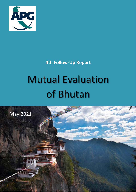

**4th Follow-Up Report**

# Mutual Evaluation of Bhutan

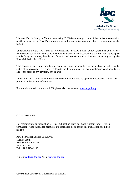

The Asia/Pacific Group on Money Laundering (APG) is an inter-governmental organisation consisting of 41 members in the Asia-Pacific region, as well as organisations, and observers from outside the region.

Under Article 1 of the APG Terms of Reference 2012, the APG is a non-political, technical body, whose members are committed to the effective implementation and enforcement of the internationally accepted standards against money laundering, financing of terrorism and proliferation financing set by the Financial Action Task Force.

This document, any expression herein, and/or any map included herein, are without prejudice to the status of, or sovereignty over, any territory, to the delimitation of international frontiers and boundaries and to the name of any territory, city or area.

Under the APG Terms of Reference, membership in the APG is open to jurisdictions which have a presence in the Asia-Pacific region.

For more information about the APG, please visit the website: [www.apgml.org](http://www.apgml.org/)

**©** May 2021 APG

No reproduction or translation of this publication may be made without prior written permission. Applications for permission to reproduce all or part of this publication should be made to:

APG Secretariat Locked Bag A3000 Sydney South New South Wales 1232 AUSTRALIA Tel: +61 2 5126 9110

E mail: [mail@apgml.org](mailto:mail@apgml.org) Web[: www.apgml.org](http://www.apgml.org/)

Cover image courtesy of Government of Bhutan.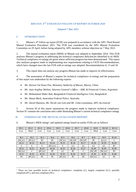# *BHUTAN: 4TH ENHANCED FOLLOW-UP REPORT OCTOBER 2020*

#### *Adopted 7 May 2021*

#### **I. INTRODUCTION**

1. Bhutan's 4th follow-up report (FUR) was prepared in accordance with the APG Third Round Mutual Evaluation Procedures 2021. The FUR was considered by the APG Mutual Evaluation Committee on 29 April, before being adopted by APG members without objection on 7 May 2021.

2. The mutual evaluation report (MER) of Bhutan was adopted in September 2016. This FUR analyses Bhutan's progress in addressing the technical compliance deficiencies identified in its MER. Technical compliance re-ratings are given where sufficient progress has been demonstrated. This report also analyses progress made in implementing new requirements relating to FATF Recommendations, which have changed since the last FUR with re-ratings was adopted: Recommendations 8, 15 and 18.

3. This report does not analyse any progress Bhutan has made to improve its effectiveness.

4. The assessment of Bhutan's request for technical compliance re-ratings and the preparation of this report was undertaken by the following experts:

- *Ms. Doreen Vai Kuan Pun, Monetary Authority of Macao, Macao, China*
- *Mr. Juan Argibay Molina, Attorney General's Office – AML & Financial Crimes, Argentina*
- *Mr. Mohammad Abdur Rab, Bangladesh Financial Intelligence Unit, Bangladesh*
- *Mr. Shaun Mark, Australian Federal Police, Australia*
- *Mr. David Shannon, Ms. Nicole van Lent and Mr. Gimo Laxamana, APG Secretariat*

5. Section III of this report summarises the progress made to improve technical compliance. Section IV contains the conclusion and a table illustrating Bhutan's current technical compliance ratings.

#### **II. FINDINGS OF THE MUTUAL EVALUATION REPORT**

6. Bhutan's MER ratings<sup>[1](#page-2-0)</sup> and updated ratings based on earlier FURs are as follows:

| IO.1      | IO.2          | IO.3      | IO.4      | IO.5          | IO.6 | IO.7    |      | <b>IO.8</b> | IO.9      | IO.10     | <b>IO.11</b> |  |
|-----------|---------------|-----------|-----------|---------------|------|---------|------|-------------|-----------|-----------|--------------|--|
| Low       | Mod           | Low       | Low       | Low           | Low  | Low     |      | Low         | Mod       | Low       | Low          |  |
|           |               |           |           |               |      |         |      |             |           |           |              |  |
| R.1       | R.2           | R.3       | R.4       | R.5           |      | R.6     |      | R.7         | R.8       | R.9       | R.10         |  |
| $(NC)$ LC | (PC) LC       | PC        | PC        | $(NC)$ LC     |      | (NC) PC |      | $(NC)$ PC   | PC        | (LC)C     | C            |  |
| R.11      | R.12          | R.13      | R.14      | R.15          |      | R.16    |      | R.17        | R.18      | R.19      | R.20         |  |
| C         | $\mathcal{C}$ | C         | $(PC)$ LC | $\mathcal{C}$ |      | LC      |      | LC          | LC        | LC        | PC           |  |
| R.21      | R.22          | R.23      | R.24      | R.25          |      | R.26    | R.27 |             | R.28      | R.29      | R.30         |  |
| $(NC)$ LC | C             | $(PC)$ LC | PC        | LC            |      | PC      | C    |             | $(NC)$ PC | $(NC)$ LC | PC           |  |
| R.31      | R.32          | R.33      | R.34      | R.35          |      | R.36    | R.37 |             | R.38      | R.39      | R.40         |  |
| PC        | (PC) LC       | PC        | PC        | (PC) LC       |      | PC      | NC   |             | (NC) LC   | LC        | PC           |  |

<span id="page-2-0"></span><sup>&</sup>lt;sup>1</sup> There are four possible levels of technical compliance: compliant (C), largely compliant (LC), partially compliant (PC), and non-compliant (NC).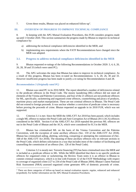# 7. Given these results, Bhutan was placed on enhanced follow-up<sup>[2](#page-3-0)</sup>.

# **III. OVERVIEW OF PROGRESS TO IMPROVE TECHNICAL COMPLIANCE**

8. In keeping with the APG Mutual Evaluation Procedures, this FUR considers progress made up until 1 October 2020. This section summarises the progress made by Bhutan to improve its technical compliance by:

- a) addressing the technical compliance deficiencies identified in the MER, and
- b) implementing new requirements where the FATF Recommendations have changed since the MER was adopted.

# **3.1. Progress to address technical compliance deficiencies identified in the MER**

9. Bhutan requested re-ratings of the following Recommendations in October 2020: 3, 4, 6, 20, 26, 28, 30 and 33 (which were rated PC).

10. The APG welcomes the steps that Bhutan has taken to improve its technical compliance. As a result of this progress, Bhutan has been re-rated on Recommendations: 3, 6, 20, 26, 30 and 33. However insufficient progress has been made to justify a re-rating for Recommendation 4 and 28.

# *Recommendation 3 (Originally rated PC)*

11. Bhutan was rated PC in its 2016 MER. The report identified a number of deficiencies related to the predicate offences in the Penal Code. The money laundering (ML) offence did not meet all elements of the Vienna and Palermo Conventions, and four of the 21 offences are not predicate offences for ML, specifically, racketeering and organized crime offences, counterfeiting and piracy of products, maritime piracy and market manipulation. These are not criminal offences in Bhutan. The Penal Code did not extend to foreign proceeds. It was unclear whether a conviction of predicate crime is necessary before proving the proceeds of crime. Bhutan requested an upgrade in its 2018 FUR, which was not supported.

12. Criterion 3.1 is *met*. Since the MER the AML/CFT Act 2018 has been passed, which includes a single ML offence to replace the Penal Code and Anti-Corruption Act of Bhutan 2011 (ACA) offences considered in the MER. Section 6 of the AML/CFT Act 2018 repealed the previous ML offences set out in the Penal Code of Bhutan and the ACA, which were considered for R.3 in the MER.

13. Bhutan has criminalised ML on the basis of the Vienna Convention and the Palermo Convention, with the exception of some ancillary offences (Sec. 159 of the AML/CFT Act 2018). Bhutan has criminalised aiding, abetting, soliciting, conspiring or attempting the commission of (Sec. 168 of the AML/CFT Act 2018). The meaning of these ancillary offences rely on relevant sections in the Penal Code, which defines solicitation in a way that includes most of the conduct of facilitating and counselling the commission of an offence (Sec. 126 of the Penal Code).

14. Criterion 3.2 is *mostly met*. Terrorist financing (TF) has been criminalised since the MER and is included as a predicate offence to ML. While the MER identified that there is no specific predicate offences for organised crime or racketeering, the Review Team notes it is an offence in Bhutan to commit criminal conspiracy, which is in line with Footnote 12 of the FATF Methodology with respect to coverage of organised crime (127 to 234 of the Penal Code of Bhutan 2004). Bhutan's latest National Risk Assessment (NRA) assessed organised crime generates 49% of domestic proceeds of crime.

<span id="page-3-0"></span><sup>&</sup>lt;sup>2</sup> There are three categories of follow-up based on mutual evaluation reports: regular, enhanced and enhanced (expedited). For further information see the APG Mutual Evaluation Procedures.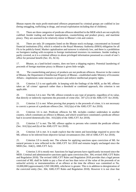Bhutan reports the main profit-motivated offences perpetrated by criminal groups are codified in law (being smuggling, trafficking in drugs, and sexual exploitation including that of children).

15. There are three categories of predicate offences identified in the MER which are not explicitly codified: Insider trading and market manipulation, counterfeiting and product piracy, and maritime piracy. They are assessed to be relatively minor in Bhutan's risk and context.

16. There are only 20 companies listed on the Bhutan stock exchange, concentrated on licensed financial institutions (FIs), which is related to the Royal Monetary Authority (RMA) obligation for all FIs to be publicly-listed. Market capitalisation and turnover is relatively low, and there is a prohibition on foreigners trading with exception to foreign institutional investors via nominees. Insider trading is partly covered, as it is a criminal offence to abuse privileged information possessed as a result of one's office for personal benefit (Sec. 65, ACA).

17. Bhutan, as a land-locked country, does not have a shipping registry. Potential laundering of proceeds of foreign maritime piracy in Bhutan is given little weight.

18. The counterfeiting and piracy of products are not predicate offences. However in the context of Bhutan, the Department of Intellectual Property of Bhutan—established under Ministry of Economic Affairs—implements some measures to protect and enforce intellectual property rights.

19. Criterion 3.3 is *not applicable*. In keeping with the findings of the MER, as the ML offence takes an 'all crimes' approach rather than a threshold or combined approach, this criterion is not applicable.

20. Criterion 3.4 is *met*. The ML offence extends to any type of property, regardless of its value, that directly or indirectly represents the proceeds of crime (Sec. 187 (21) of the AML/CFT Act 2018).

21. Criterion 3.5 is *met*. When proving that property is the proceeds of crime, it is not necessary to convict a person of a predicate offence (Sec. 161(1)(a) of the AML/CFT Act 2018).

22. Criterion 3.6 is *met*. Predicate offences for ML includes conduct undertaken in another country, which constitutes an offence in Bhutan, and which would have constituted a predicate offence had it occurred domestically (Sec. 161(2)(b) of the AML/CFT Act 2018).

23. Criterion 3.7 is *met*. The ML offence applies to persons who commit the predicate offence (Sec.  $161(1)(a)$  and (b) of the AML/CFT Act 2018).

24. Criterion 3.8 is *met*. It is made explicit that the intent and knowledge required to prove the ML offence to be inferred from objective factual circumstances (Sec.160 of AML/CFT Act 2018).

25. Criterion 3.9 is *mostly met*. The scheme for applying sanctions upon conviction of ML for natural persons is now reflected in the AML/CFT Act 2018 and remains largely unchanged since the MER (Sec. 164(1), AML/CFT Act).

26. Criterion 3.10 is *mostly met*. Sanctions for legal persons have significantly increased since the MER. Criminal and administrative sanctions apply upon conviction (Sec. 304, revised AML/CFT Rules and Regulation 2018). The revised AML/CFT Rules and Regulation 2018 provides that a legal person convicted of ML shall be liable to pay a fine of not less than twice of the value of the proceeds of an unlawful activity or instrumentalities of an offence at the time the offence was committed or Nu. 10,000,000 (approximately USD 180,000), whichever is greater. This is in addition to deregistration of the convicted entity (Sec. 304, AML/CFT Rules and Regulation 2018). However it is not clear that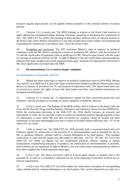measures against legal persons can be applied without prejudice to the criminal liability of natural persons.

27. Criterion 3.11 is *mostly met*. The MER findings in relation to the Penal Code continue to apply. Bhutan has criminalised aiding, abetting, soliciting, conspiring or attempting the commission of (Sec. 168, AML/CFT Act 2018). The meaning of these ancillary offences relies on relevant sections in the Penal Code, which defines solicitation in a way that includes most of the conduct of facilitating and counselling the commission of an offence (Sec. 126 of the Penal Code).

28. Weighting and conclusion*:* The APG welcomes Bhutan's steps to improve its technical compliance with the ML offence, noting the creation of standalone ML offence, with the inclusion of TF and the clarification of organised crime as predicates for ML. However gaps remain with the scope of coverage of predicate offences for ML. In light of Bhutan's risk and context these missing predicate offences have been weighed and overall represent minor gaps. Sanctions for legal persons convicted of ML have significantly increased since the MER.

## 29. **Recommendation 3 is re-rated to largely compliant.**

## *Recommendation 4 (Originally rated PC)*

30. Bhutan has taken some steps to improve its technical compliance since its 2016 MER. Bhutan was rated PC in its MER for R.4, due to the scope of deficiencies related to predicate offences (discussed above), its absence of provisions for TF, and property of equivalent value. The report found there was no provision to protect the rights of bona fide third parties and there were limited mechanisms for managing seized property.

31. Criterion 4.1 is *mostly met*. A comprehensive regime for both convictions-based and civil forfeiture, with the exception of coverage of certain categories of predicate offences.

32. 4.1(a) is *mostly met*. The findings of the MER remain valid in relation to the Penal Code, the ACA and the Narcotic Drugs and Psychotropic Substances and Substance Abuse Act (the NDPSSAA). While the confiscation provisions in the AML/CFT Act 2018 chiefly focusses on proceeds and instruments of crime, the Act provides a basis to confiscate laundered property through payment in lieu of confiscation in cases where ML has been successful (i.e. property cannot be located, has been transferred, or has been intermingled such that it cannot be divided without difficulty (Sec. 137 of the AML/CFT Act 2018).

33. 4.1(b) is *mostly met*. The AML/CFT Act 2018 provides both a conviction-based and civil forfeiture regime for confiscation of the proceeds of or instrumentalities used or intended for use in, ML or predicate offences, whether held by criminal defendants or by third parties. This includes confiscation in cases that the suspect has absconded or died (Sec. 134-135; 143-149; 152-154 of the AML/CFT Act 2018). As Bhutan has not criminalised predicate offences relating to market manipulation, counterfeiting and piracy of products, nor confiscation of instrumentalities or proceeds, those offences are not supported. In light of Bhutan's risk and context these missing predicate offences have been weighed and overall represent minor gaps.

34. 4.1(c) is *met*. The above provisions cited at 4.1(a-b) apply equally to property that is the proceeds of, or used in, or intended or allocated for use in the financing of terrorism, terrorist acts or terrorist organisations.

35. 4.1(d) is *met*. The AML/CFT Act 2018 enables the confiscation of property of corresponding value, whether held by criminal defendants or by third parties. This can be achieved by an order for a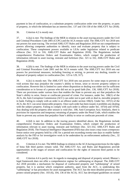payment in lieu of confiscation, or a substitute property confiscation order over the property, or parts of property, in which the defendant has an interest (Sec. 137 and 156-158 of the AML/CFT Act 2018).

36. Criterion 4.2 is *mostly met*.

37. 4.2(a) is *met*. The findings of the MER in relation to the asset tracing powers under the Civil and Criminal Procedures Code 2001 (CCPC) and the ACA remain valid. The AML/CFT Act 2018 sets out powers for asset tracing. The revised AML/CFT Rules and Regulation 2018 set out comprehensive powers allowing competent authorities to identify, trace and evaluate property that is subject to confiscation. These complement powers available to LEAs under legislation related to predicate offences (Sec. 313 to 316, AML/CFT Rules and Regulation 2018). The Regulations include comprehensive Production Orders and Examination Orders, which compel the production of information relevant to asset tracing, restraint and forfeiture (Sec. 321 to 332, AML/CFT Rules and Regulation 2018).

38. 4.2(b) is *met*. The findings of the MER in relation to the asset tracing powers under the Civil and Criminal Procedures Code 2001 and the ACA remain valid. The AML/CFT Act 2018 sets out powers for provisional measures, including freezing or seizing, to prevent any dealing, transfer or disposal of property subject to confiscation (Sec. 125 to 129, 317).

39. 4.2(c) is *mostly met*. The AML/CFT Act 2018 sets out powers for some steps to prevent or void actions that may prejudice the country's ability to freeze, seize or recover property subject to confiscation. However this is limited to cases where disposition or dealing was either not for sufficient consideration or in favour of a person who did not act in good faith (Sec. 130, AML/CFT Act 2018). There are provisions under various laws that enables the State to prevent any act that prejudices the State's ability to seize, freeze or confiscate proceed of crime. For instance, under Sec. 106(1) of the ACA, the Anti-Corruption Commission (ACC) can order not to part with or deal in, movable property in bank. Failing to comply with an order is an offence under section 106(3). Under Sec. 107(1) of the ACA, the ACC can seize immovable property. Once such order has been issued, it prohibits any dealing with the subject property. Failing to comply with such order is offence under Sec. 107(4) and 107(6). Any dealing with the property after seizure is void (Sec. 108, Anti-Corruption Act). Similarly, there is provision for injunction and temporary retraining of property under the Penal Code, which enables the State to prevent any actions that prejudice State's ability to seize or confiscate proceeds of crime.

40. 4.2(d) is *met*. In addition to the tracing powers identified above, the Regulations include comprehensive Production Orders and Examination Orders, which compel the production of information relevant to asset tracing, restraint and forfeiture (Sec. 321-332, AML/CFT Rules and Regulation 2018). The Financial Intelligence Department (FID) may also issue a may issue a temporary freeze notice over property held by a RE for a period not exceeding twenty-one days to enable further analysis by the FID or for investigative work to be undertaken by an enforcement authority (Sec., 32 AML/CFT Act 2018).

41. Criterion 4.3 is *met*. The MER findings in relation to the ACA having protections for the rights of bona fide third parties remain valid. The AML/CFT Act, and Rules and Regulations provide opportunities at the stages of seizure and confiscation for the rights of innocent third parties to be considered.

42. Criterion 4.4 is *partly met*. In regards to managing and disposal of property seized, Bhutan´s legal framework does not offer a comprehensive regime for safekeeping or disposal. The AML/CFT Act 2018 provides a mechanism for disposal of confiscated property and "safekeeping" of seized property, but it is unclear which competent authority, apart from the ACC, is undertaking this "safekeeping" or has procedures for asset management. The ACC has the most detailed powers to take protect seized property (Sec. 103 (6), 104, 136 of the ACA). ACC has developed guidelines on seized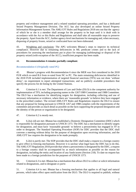property and evidence management and a related standard operating procedure, and has a dedicated Seized Property Management Division. The ACC has also developed an online Seized Property Information Management System. The AML/CFT Rules and Regulations 2018 sets out that the agency of which he or she is a member shall arrange for the property to be kept until it is dealt with in accordance with the Act or this Rules and Regulations and shall take all reasonable steps to preserve the property. Apart from the ACC, further agency-level mechanisms for managing and, when necessary, disposing of property frozen, seized or confiscated have not been elaborated.

43. Weighting and conclusion*:* The APG welcomes Bhutan´s steps to improve its technical compliance. However due to remaining deficiencies in ML predicate crimes and to the lack of procedures for assessing the mechanisms put in place for managing (safekeeping) or disposal of the property seized (with exception of the ACC), insufficient progress has been made.

# 44. **Recommendation 4 remains partially compliant**.

# *Recommendation 6 (Originally rated PC)*

45. Bhutan's progress with Recommendation 6 since the MER was first considered in the 2018 FUR which re-rated R.6 from re-rated from NC to PC. The main remaining deficiencies identified in the 2018 FUR included implementation of targeted financial sanctions (TFS) was not done 'without delay'; no requirement to report attempted transactions; and no publicly available procedures that specify the process for de-listing by the United Nations.

46. Criterion 6.1 is *met*. The Department of Law and Order (DLO) is the competent authority for implementation of TFS, including proposing names to the 1267/1989 Committee and 1988 Committee. The DLO has a mechanism for identifying targets for designation, including collecting and use of necessary information or evidence, where there are 'reasonable grounds' to believe they have engaged in the prescribed conduct. The revised AML/CFT Rules and Regulations requires the DLO to ensure that any proposal for listing pursuant to UNSCR 1267 and 1988 complies with the requirements of the committee and provides as much detail as possible on the facts supporting the proposed designation and the identity of the person or organization to be designated.

## 47. Criterion 6.2 is *mostly met*.

48. 6.2(a)–(d) are *met*. Bhutan has established a Domestic Designation Committee (DDC) which is responsible for designation pursuant to UNSCR 1373. The DDC has a mechanism to identify targets for designation, and must have 'reasonable grounds' to believe a person/entity has engaged in TF in order to designate. The Standard Operating Procedure (SOP) for DDC provides that the DDC shall convene a meeting without delay for the purpose of designation upon receiving information, and the AML/CFT law requires the designation to be made promptly.

49. 6.2(e) is *partly met*. The SOP provides that the DDC shall make a request to a foreign country to give effect to freezing mechanisms. However it is unclear what legal basis the DDC has to do this. The AML/CFT Regulations 2018 provide that where a person/entity is designated by the DDC, a request to a foreign country shall be accompanied by as much information as possible on the reason for designation, including the entity and location of any funds/assets (Section 218). To date no request has been made to a foreign jurisdiction for the purposes of UNSCR 1373.

50. Criterion 6.3 is *met*. Bhutan has a mechanism that allows DLO to collect or solicit information related to designations, and to designate *ex parte*.

51. Criterion 6.4 is *met*. Bhutan has a freezing mechanism that applies to all legal and natural persons, which takes effect upon notification from the DLO. The DLO is required to publish, without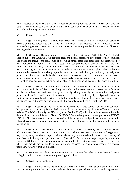delay, updates to the sanctions list. These updates are now published on the Ministry of Home and Cultural Affairs website without delay, and the DLO communicates details of the sanctions list to the FID, who will notify reporting entities.

52. Criterion 6.5 is *mostly met*.

53. 6.5(a) is *mostly met*. The DDC may order the freezing of funds or property of designated persons or entities pursuant to UNSCR 1373. The AML/CFT law requires the DDC to issue a formal notice of designation 'as soon as practicable', however, the SOP provides that the DDC shall issue a freezing order immediately.

54. 6.5(b) is *met*. The sanctioning provision is contained at Section 180 of the AML/CFT Act. Section 119 of the AML/CFT Act requires legal and natural persons to give effect to the prohibition and freeze and includes the prohibition on providing funds, assets and other economic resources. For the avoidance of doubt, funds and assets are comprehensively defined. Further, the law comprehensively covers (i) all funds or other assets that are owned or controlled by the designated person or entity, and not just those that can be tied to a particular terrorist act, plot or threat; (ii) those funds or other assets that are wholly or jointly owned or controlled, directly or indirectly, by designated persons or entities; and (iii) the funds or other assets derived or generated from funds or other assets owned or controlled directly or indirectly by designated persons or entities, as well as (iv) funds or other assets of persons and entities acting on behalf of, or at the direction of, designated persons or entities.

55. 6.5(c) is *met*. Section 119 of the AML/CFT closely mirrors the wording of requirements at 6.5(c) and extends the prohibition to making any funds or other assets, economic resources, or financial or other related services, available, directly or indirectly, wholly or jointly, for the benefit of designated persons and entities; entities owned or controlled, directly or indirectly, by designated persons or entities; and persons and entities acting on behalf of, or at the direction of, designated persons or entities, unless licensed, authorised or otherwise notified in accordance with the relevant UNSCRs.

56. 6.5(d) is *mostly met*. The AML/CFT law requires the DLO to publish updates to the sanctions lists pursuant to UNSCR. Updates to the list are published on the Ministry of Home Affairs and Culture website. The DLO will notify the FID, who, under Section 82 (6) will without delay, communicate the details of any notice published to FIs and DNFBPs. Where a designation is made pursuant to UNSCR 1373, the DLO is required to issue a formal notice of the designation and publish as soon as practicable. Bhutan has not issued guidance to reporting entities on their obligations in taking action under freezing mechanisms.

57. 6.5(e) is *mostly met*. The AML/CFT law requires all persons to notify the FID of the existence of any property frozen pursuant to UNSCR 1267/1373. The revised AML/CFT Rules and Regulations require reporting entities to report, without delay, any actions taken in relation to freezing of funds/assets, including attempted transactions (Sec. 282). The rules also require reporting entities to submit an STR when there is an attempted transaction by designated persons. However it is unclear whether attempts to provide funds, or to seek financial services (e.g. open a bank account) are covered under FI/DNFBP reporting obligations.

58. 6.5(f) is *met*. Article 182 of the AML/CFT Act protects the rights of bona fide third parties acting in good faith when implementing freezing obligations.

59. Criterion 6.6 is *partly met*.

60. 6.6(a) is *not met*. While the Ministry of Home & Cultural Affairs has published a link to the UNSCR focal point for de-listing on its website, there are no procedures to submit de-listing requests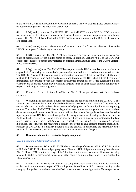to the relevant UN Sanctions Committee when Bhutan forms the view that designated persons/entities do not or no longer meet the criteria for designation.

61. 6.6(b) and (c) are *met*. For UNSCR1373, the AML/CFT law the SOP for DDC provide a mechanism for the de-listing and unfreezing of funds including a review of designation decision before a court. The AML/CFT law allows a designated person or entity to apply to the DLO for the removal of a designation.

62. 6.6(d) and (e) are *met*. The Ministry of Home & Cultural Affairs has published a link to the UNSCR focal point for de-listing on its website.

63. 6.6(f) is *mostly met*. The AML/CFT Law contains a mechanism for review and unfreezing of funds of persons/entities with similar names to those. In addition, Sections 48-51 of the DDC SOP outline procedures for a person/entity affected by a freezing mechanism to apply to the DLO to unfreeze funds or other assets.

64. 6.6(g) is *mostly met*. The AML/CFT law requires that the DLO should issue a notice 'as soon as practicable' following the removal of a person/entity from both the UN and domestic sanctions lists. The DDC SOP states that once a person or organization is removed from the sanction list, the order relating to freezing of fund and property ceases and therefore, the DLO shall lift the freeze order immediately in coordination with the concerned authorities. Bhutan has not issued guidance to FIs and other persons or entities, which may by holding targeted funds or other assets, on their obligations to respect a de-listing or unfreezing action.

65. Criterion 6.7 is *met*. Sections 86 to 89 of the AML/CFT law provides access to funds for basic expenses.

66. Weighting and conclusion*:* Bhutan has rectified the deficiencies noted in the 2018 FUR. The UNSCR 1267 sanctions list is now published on the Ministry of Home and Cultural Affairs website, to ensure publication is made without delay, instead of relying on notification by the FID to reporting entities. The revised AML/CFT Rules and Regulations now require reporting entities to report, without delay, on attempted transactions. Some minor deficiencies remain. No guidance has been issued to reporting entities or DNFBPs on their obligations in taking action under freezing mechanisms, and no guidance has been issued to FIs and other persons or entities which may by holding targeted funds or other assets, on their obligations to respect a de-listing or unfreezing action. In addition, the legal basis for requesting a foreign jurisdiction to give effect to freezing mechanisms pursuant to UNSCR 1373 is unclear. Bhutan's risk and context, in particularly the materiality of the very small DNFBP sector, has been taken into account when weighting the gaps.

## 67. **Recommendation 6 is re-rated to largely compliant**.

## *Recommendation 20 (Originally rated PC)*

68. Bhutan was rated PC in its 2016 MER due to cascading deficiencies in R.3 and R.5. In relation to R.5, the 2018 FUR acknowledged progress in Bhutan's STR obligations stemming from the new AML/CFT Act 2018, and the coverage of the TF offence in the same instrument. However, its rating remained PC due to cascading deficiencies of other serious criminal offences not yet criminalised in Bhutan under R.3.

69. Criterion 20.1 is *mostly met*. Bhutan has comprehensively criminalised TF, which is subject to the suspicious transaction report (STR) obligation. As outlined at R.3, concerns relating to the category of organised crime have been clarified, however there is no obligation for FIs to report when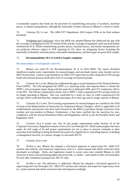it reasonably suspects that funds are the proceeds of counterfeiting and piracy of products, maritime piracy, or market manipulation, although the materiality of these offences in Bhutan's context is noted.

70. Criterion 20.2 is *met*. The AML/CFT Regulations 2018 require STRs to be filed without threshold.

71. Weighting and Conclusion*:* Since the MER was adopted Bhutan has addressed the gap with the coverage of obligations to file TF-related STRs and the coverage of organised crime has been further clarified (see R.3). While counterfeiting, product piracy, maritime piracy, and market manipulation are not predicate offences subject to STR reporting by FIs, there are mitigating factors including the materiality of domestic maritime piracy and market manipulation, and these gaps are given little weight.

#### 72. **Recommendation 20 is re-rated to largely compliant**.

#### *Recommendation 26 (Originally rated PC)*

73. Bhutan was rated PC for Recommendation 26 in its 2016 MER. The report identified insufficient market entry requirements for moneychangers and non-bank money value transfer service (MVTS) providers, a minor scope limitation on AML/CFT supervisors (credit cooperative/CSO savings funds and national pension fund) and a lack of coverage of financial groups.

74. Criterion 26.1 is *met*. Bhutan has addressed the gap in scope limitation of the National Pension Fund (NPPF). The FID designated the NPPF as a reporting entity and required them to submit the NPPF's risk assessment report along with the name list of dedicated AML and CFT compliance officer to the FID. The FID has conducted an onsite visit to NPPF. Credit cooperatives/CSO savings funds are no longer operating in Bhutan. This was confirmed by a study on risks of credit cooperatives/CSO savings which confirmed that they stopped operating a few years ago and no longer operate in Bhutan.

75. Criterion 26.2 is *met*. The licensing requirements for moneychangers are clarified in the 2018 revision of the Memorandum of Instruction for Authorized Money Changers, which is applicable to all establishments and persons who have been licensed by the RMA to purchase foreign currencies from resident and non-resident in Bhutan. Furthermore, it has been clarified that the sanctions for noncompliance with the Inward Remittance Rules and Regulations will be as per the Penalties Rules and Regulation 2019.

76. Criterion 26.3 is *mostly met*. The fit and proper requirements under Section 16 of the Corporate Governance Regulation remain in force for Core Principle FIs. While some progress has been made, the full range of fit and proper requirements are not in place to prevent criminals or their associates from holding (or being the beneficial owner of) a significant or controlling interest, or holding a management function, in a money changer or non-bank MVTS.

77. Criterion 26.4 is *met*.

78. 26.4(a) is *met*. Bhutan has adopted a risk-based approach to supervising FIs' AML/CFT systems and controls, and respective supervisory tools (i.e. onsite manual and offsite tool) have been developed accordingly. Rules and regulations issued in recent years have enabled Bhutan to shift resources to those areas presenting higher perceived risk, i.e. banks—and extend to other core principles FIs and other institutions posing lower ML/TF risks.

79. 26.4(b) is *met*. The deficiency is addressed. Bhutan has adopted a risk-based approach to supervising non-Core Principles FIs' AML/CFT systems and controls, and respective supervisory tools (i.e. onsite manual and offsite tool) have been developed accordingly.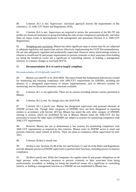80. Criterion 26.5 is *met*. Supervisors' risk-based approach mirrors the requirements of this criterion (s. 52 AML/CFT Rules and Regulations 2018).

81. Criterion 26.6 is *met*. Supervisors are required to review the assessment of the ML/TF risk profile of a financial institution or group (including the risks of non-compliance) periodically, and when there are major events or developments in the management and operations (Section 21.4, AML/CFT Regulations).

82. Weighting and conclusion: Bhutan has taken significant steps to ensure that FIs are subjected to adequate regulation and supervision and are effectively implementing the FATF Recommendations. FIs are also adequately regulated and prudentially supervised. However minor shortcomings remain in relation to insufficient fit and proper requirements to prevent criminals or their associates from holding (or being the beneficial owner of) a significant or controlling interest, or holding a management function, in a money changer or non-bank MVTS.

#### 83. **Recommendation 26 is re-rated to largely compliant.**

## *Recommendation 28 (Originally rated PC)*

84. Bhutan was rated PC in its 2016 MER. The report found that fundamental deficiencies existed for monitoring and ensuring compliance with AML/CFT requirements for DNFBPs, including the absence of a designated supervisor(s) to ensure implementation, lack of effective systems for monitoring, and no dissuasive monetary sanctions available.

85. Criterion 28.1 is *not applicable*. There are no casinos including internet casinos permitted in Bhutan.

86. Criterion 28.2 is *met*. No change since the 2018 FUR.

87. Criterion 28.3 is *partly met.* Bhutan has designated supervisors and assessed elements of DNFBP sectoral risk. Though other categories of DNFBPs have not been designated as reporting entities in accordance with Section 187(7g), Bhutan has stated the only other category of DNFBPs missing is casinos, which are prohibited by law in Bhutan. Bhutan states the AML/CFT Act has provisions to ensure the other types of DNFBPs are subject to systems for monitoring compliance with AML/CFT requirements.

88. However Bhutan has yet to demonstrate it has systems for monitoring compliance with AML/CFT requirements as required by this criterion. Bhutan notes its DNFBP sector is small and presents relatively small volume of activity. There are plans to commence offsite supervision by mid-2021.

89. Criterion 28.4(a) is *mostly met*.

90. 28.4(a) is *met*. Sections 45-48 of the Act and Sections 51 and 54 of the Rules and Regulations provide adequate powers to DNFBP supervisors to perform their functions, including powers to monitor compliance.

91. 28.4(b) is *partly met.* While the Companies Act applies some fit and proper obligations on all legal persons, wider necessary measures to prevent criminals or their associates from being professionally accredited, or holding (or being the beneficial owner of) a significant or controlling interest, or holding a management function in a DNFBP are not established in Bhutan law.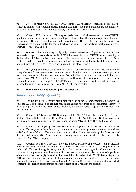92. 28.4(c) is *mostly met*. The 2018 FUR re-rated R.35 to largely compliant, noting that the sanctions applied to all reporting entities, including DNFBPs, and that a proportionate and dissuasive range of sanctions to deal with failure to comply with AML/CFT requirements.

93. Criterion 28.5 is *partly met*. Bhutan produced a feasibility/risk assessment report on DNFBPs (preliminary work on private accountants and legal professionals). This study was performed in order to maximise Bhutan's limited resources by ascertaining ML/TF risks and facilitate risk-based supervision and monitoring. Bhutan concluded, based on an ML/TF risk analysis, that both sectors have a "lower" level of ML/TF risk.

94. However, this preliminary study only covered assessment of private accountants and independent legal professionals as the 2017 NRA indicated these two DNFBP sectors have higher likelihood ML/TF risks relative to other sectors. Risk assessments on the other sectors of DNFBPs are yet to be conducted in order to determine and perform the frequency and intensity of their supervisory or monitoring actions on DNFBPs commensurate with their level of risks.

95. Weighting and conclusion*:* Bhutan's context of very small DNFBP sectors is noted. Comprehensive fit and proper measures are not yet in place for DNFBPs. While DNFBP supervision had note commenced, Bhutan has conducted feasibility/risk assessment on the two higher risks categories of DNFBPs to guide risk-based supervision. However, the coverage of the risk assessment is yet to be extended to all categories of DNFBPs so as to ensure they are subject to effective systems for monitoring an ensuring compliance with AML/CFT requirements.

## 96. **Recommendation 28 remains partially compliant.**

# *Recommendation 30 (Originally rated PC)*

97. The Bhutan MER identified significant deficiencies for Recommendation 30, namely that only the ACC is designated to conduct ML investigations, that there is no designated agency for investigating TF, and that the role of police to identify and trace property subject to confiscation is not clearly defined.

98. Criterion 30.1 is *met*. In 2018 Bhutan passed the AML/CTF Act that criminalised TF under Sections 165 to 168. Under the Royal Bhutan Police (RBP) Act 2009 the RBP have powers to investigate any criminal offence in the Penal Code including ML and TF (s.41 of the Police Act).

99. Criterion 30.2 is *partly met*. The RBP can investigate predicate offences and any related ML/TF offences (s.41 of the Police Act), while the ACC can investigate corruption and related ML (s.70-73 of the ACC Act). There are no explicit provisions in the law enabling the Department of Revenue and Customs (DRC) to conduct ML investigations. It is unclear whether they can refer the case to RBP for ML investigation.

100. Criterion 30.3 is *met.* The ACA provides the ACC authority and procedures on the freezing or seizure of both moveable and immoveable properties. The AML/CFT Act provides power for an authorised officer (including the RBP) to apply to the court for a freezing order where a property is suspected to be proceeds or an instrument of crime, and where a person is convicted of a predicate offence, the officer may apply for confiscation. In addition, the revised AML/CFT Rules and Regulation 2018 sets out comprehensive powers that allow competent authorities to identify, trace and evaluate property that is subject to confiscation, and include Production Orders and Examination Orders, which compel the production of information relevant to asset tracing, restraint and forfeiture.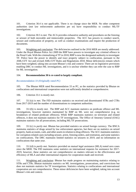101. Criterion 30.4 is *not applicable*. There is no change since the MER. No other competent authorities (not law enforcement authorities per se) have responsibility to conduct ML/TF investigations.

102. Criterion 30.5 is *met*. The ACA provides exhaustive authority and procedures on the freezing or seizure of both moveable and immoveable properties. The ACC has powers to conduct search, seizure and confiscation of property, as well as conduct examinations and require the production of documents.

103. Weighting and conclusion*:* The deficiencies outlined in the 2016 MER are mostly addressed. Under the Royal Bhutan Police Act 2009 the RBP have powers to investigate any criminal offence in the Penal Code. With the criminalising of TF in 2018, RBP is now the designated authority to investigate TF. Police have the power to identify and trace property subject to confiscation, pursuant to the AML/CFT Act and revised AML/CFT Rules and Regulations 2018. Minor deficiencies remain which have been weighted, taking into account Bhutan's risk and context: There are no legislative provisions enabling DRC to conduct ML investigations, and it is unclear whether they can refer the case to RBP for ML investigation.

## 104. **Recommendation 30 is re-rated to largely compliant.**

#### *Recommendation 33 (Originally rated PC)*

105. The Bhutan MER rated Recommendation 33 as PC, as the statistics provided by Bhutan on confiscations and international cooperation were not sufficiently detailed or comprehensive.

106. Criterion 33.1 is *mostly met.*

107. 33.1(a) is *met.* The FID maintains statistics on received and disseminated STRs and CTRs from 2017-2019 and the number of disseminations to competent authorities.

108. 33.1(b) is *mostly met*. The RBP and ACC maintain statistics on predicate offence and ML investigations, however statistics maintained by RBP on ML were not comprehensive (e.g. no breakdown of related predicate offences). While RBP maintains statistics on terrorism and related offences, it does not maintain statistics for TF investigations. The Office of Attorney General (OAG) maintains statistics for all prosecutions, including ML/TF prosecutions.

109. 33.1(c) is *partly met*. Bhutan has provided statistics on seized foreign currency. The BNCA maintains statistics of drugs seized by law enforcement agencies, but there are no statistics on seized property, bank accounts, cash, and other assets in relation to drug offences. The ACC maintains statistics for corruption-related cases including seizure, arrest, freezing orders, and restitution, and some statistics on confiscations. The DRC maintains limited statistics on seizures in 2019, and no information on confiscations that same year.

110. 33.1(d) is *partly met.* Statistics provided on mutual legal assistance (MLA) noted zero cases since the MER. The FID maintains some statistics on international requests for assistance for 2017- 2019, however, these statistics are not comprehensive on matters relevant to the effectiveness and efficiency of MLA and other international requests for cooperation made and received.

111. Weighting and conclusion*:* Bhutan has made progress on maintaining statistics relating to STRs and CTRs. Bhutan maintains statistics on ML investigations, prosecutions, and convictions but does not maintain statistics for TF investigations. Statistics relating to confiscations and international cooperation are not comprehensive. These minor deficiencies have been weighted, taking into account Bhutan's risk and context.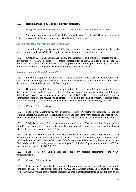# 112. **Recommendation 33 is re-rated largely compliant.**

## **3.2. Progress on Recommendations which have changed since adoption of the MER**

113. Since the adoption of Bhutan's MER, Recommendations 2, 8, 15, and 18 have been amended. This section considers Bhutan's compliance with the new requirements*.*

## *Recommendation 2 (re-rated LC in the 2018 FUR)*

114. Since the adoption of Bhutan's MER, Recommendation 2 has been amended to clarify the need for compatibility of AML/CFT requirements and data protection and privacy rules.

115. Criterion 2.5 is *met*. Bhutan has existing mechanisms for authorities to cooperate and share information for AML/CFT purposes to ensure compatibility of AML/CFT requirements and data protection and privacy rules as the need arises. At present there do not appear to be any specific data protection and privacy obligations which impede AML/CFT requirements.

## *Recommendation 8 (Originally rated PC)*

116. Since the adoption of Bhutan's MER, Recommendation 8 has been amended to clarify the subset of non-profit organisations (NPOs) which should be subject to R.8 requirements and to ensure that R.8 is in line with the targeted risk-based approach.

117. Bhutan was rated PC for Recommendation 8 in 2016. The main deficiencies identified were that Bhutan had not conducted a review of its NPO sector and its vulnerability for abuse, and therefore did not take a risk-based approach to the monitoring of NPOs. There was limited application and enforcement of the law and regulations, and there were no points of contact or procedures for responding to information requests. At that time, Bhutan had not conducted outreach concerning TF issues.

118. Criterion 8.1 is *partly met*.

119. 8.1(a) is *not met*. Bhutan has not sufficiently assessed NPO sector risk to identify which subset of NPOs that fall within the FATF definition of NPO and then identify the features and types of NPOs which, by virtue of their activities or characteristics, are likely to be at risk of TF abuse in Bhutan.

120. 8.1(b) is *not met*. Whilst there was some mention of NPOs in the NRA, Bhutan has not identified the nature of threats posed by terrorist entities to NPOs that are at risk as well as how or whether terrorist actors abuse those NPOs.

121. 8.1(c) is *partly met*. Bhutan conducted a review of its Civil Society Organizations (CSO) Rules and Regulations in consultation with the sector. As a result of the review, Bhutan amended Rules and Regulations in 2017. These rules do not identify a subset of NPOs that may be subject to misuse. Bhutan advised that it is in the process of reviewing the Civil Society Organizations Authority (CSOA), and intends on updating its NRA in 2021.

122. 8.1(d) is *not met*. Bhutan does not conduct any periodic assessment of the NPO's vulnerabilities to TF.

123. Criterion 8.2 is *partly met.*

124. 8.2(a) is *mostly met*. Bhutan's policies for promoting transparency, integrity, and public confidence in the sector are provided for in the CSOA and CSO Regulations. CSOs must be registered by the CSOA and provide annual reports, including audited financial statements, an auditor's report and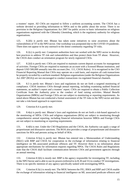a trustees' report. All CSOs are required to follow a uniform accounting system. The CSOA has a website devoted to providing information to NPOs and to the public about the sector. There is no provision in the Religious Organisations Act 2007 for public access to basic information on religious organisations registered with the Chhoedey Lhentshog, which is the regulatory authority for religious organisations.

125. 8.2(b) is *partly met*. Bhutan has taken some initiatives to raise awareness about the vulnerabilities of TF in the NPO sector. One workshop was postponed due to the COVID-19 pandemic. There does not appear to be any outreach to the donor community regarding TF risks.

126. 8.2(c) is *partly met.* Competent authorities have not worked with the NPO sector to develop best practices to address TF risk and vulnerabilities and thus protect them from TF abuse. However, the CSOA does conduct an orientation program for newly registered CSOs.

127. 8.2(d) is *partly met*. CSOs are required to maintain current deposit accounts for management of activities. Foreign CSOs are required to maintain an account with a licensed Bhutan institution, and deposit USD 500,000 annually into this account (Sec. 111, CSOA Rules). It is recognised in the CSO Financial Reporting Manual that CSOs may operate on a cash basis, and requires all cash transactions be properly recorded by a uniform standard. Religious organisations (under the Religious Organizations Act 2007 (ROA)) are not encouraged to conduct transactions via regulated financial channels.

128. 8.3 is *partly met.* Bhutan`s laws and regulations do not set forth a targeted monitoring of compliance. CSOA monitors CSOs through annual reporting, including examining audited financial statements, an auditor's report and a trustees' report. CSOs are required to obtain a Public Collection Certificate from the Authority prior to the conduct of fund raising activities. Mutual Benefit Organisations (MBOs) and Foreign CSOs are not subject to monitoring or reporting requirements. As noted above Bhutan has not conducted a formal assessment of the TF risks in the NPO sector and does not take a risk-based approach to supervision.

129. Criterion 8.4 is *partly met.*

130. 8.4(a) is *partly met*. Bhutan's laws and regulations do not set forth a risk-based approach to the monitoring of NPOs. CSOs and religious organisations (ROs) are subject to monitoring through comprehensive annual reporting, including financial information however MBOs and Foreign CSOs are not subject to monitoring or reporting requirements.

131. 8.4(b) is *met*. Under the CSO Regulations and the CSOA, the Authority can apply a range of proportionate and dissuasive sanctions. The ROA also provides a range of proportionate and dissuasive sanctions for ROs and persons acting on behalf of ROs.

132. Criterion 8.5(a) is *partly met*. Bhutan has entered into a Memorandum of Understanding (MoU) with RBP and CSOA for cooperation in the exchange of information relating to financial intelligence on ML-associated predicate offences and TF. However there is no information about appropriate mechanisms for information requests regarding NPOs. The CSOA Rules and Regulations state that the CSOA shall facilitate communication between CSOs and government agencies through an annual meeting.

133. Criterion 8.5(b) is *mostly met*. RBP is the agency responsible for investigating TF, including in the NPO Sector and is able to use its powers (referred to in R.30 and 31) to conduct TF investigations. There is no specific mention of any agency specifically tasked with investigating NPOs.

134. Criterion 8.5(c) is *mostly met*. The MOU between the FIU, RMA and RBP and CSOA enable the exchange of information relating to financial intelligence on ML associated predicate offences and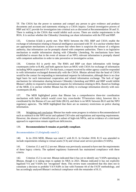TF. The CSOA has the power to summon and compel any person to give evidence and produce documents and accounts and statements relating to a CSOA inquiry. General investigative powers of RBP and ACC provide for investigation into criminal acts as discussed at Recommendation 30 and 31. There is nothing in the CSOA that would inhibit such access. There are similar requirements in the ROA. It is unclear whether the Chhoedey Lhentshog can share information with the FID and RBP.

135. Criterion 8.5(d) is *partly met.* The MOU between the FID, RBP and CSOA enable the exchange of information relating to financial intelligence associated with TF. It is unclear whether there are appropriate mechanisms in place to ensure that when there is suspicion the misuse of a religious authority, that information can be promptly shared with competent authorities. There is no legislative mechanism to enable information sharing with Chhoedey Lhentshog. No mechanisms have been established to ensure that in the event of misuse of an NPO, relevant information is promptly shared with competent authorities in order to take preventive or investigative action.

136. Criterion 8.6 is *partly met*. The RMA and RBP can share information with foreign counterparts (refer to R.40), and both agencies have an MOU with CSOA for exchange of information including NPOs suspected of TF. On that basis, a request received by either agency could be responded to with information exchanged domestically with the CSOA. Bhutan advised that the head of CSOA would be the contact for responding to international requests for information, although there is no clear legal basis for such international cooperation and related information exchange. The lack of legal mechanism for information sharing between Chhoedey Lhentshog and RMA and RBP would inhibit Bhutan's ability to respond to international requests for information relating to ROs. Based on findings of the MER, it is unclear whether Bhutan has the ability to exchange information directly with noncounterparts (R.40).

137. The MER highlighted points that Bhutan has a comprehensive three-tier coordination mechanism with India (which would cover key cross-border TF/terrorism risks), however this is coordinated by the Bureau of Law and Order (BLO), and there is no MOU between BLO and the NPO regulatory agencies. The MER highlighted that there are no statutory restrictions on police sharing information.

138. Weighting and conclusion*:* Bhutan has made some progress in relation to Recommendation 8 such as outreach to the NPO sector and updated CSO rules and regulations and reporting requirements. However, the absence of identification of a subset of high-risk NPOs, and no evidence of a risk-based approach to supervision remain significant deficiencies.

## 139. **Recommendation 8 remains at partially compliant.**

## *Recommendation 15 (Originally rated C)*

140. In its 2016 MER, Bhutan was rated C with R.15. In October 2018, R.15 was amended to include requirements relating to virtual assets (VA) and virtual asset service providers (VASPs).

141. Criterion 15.1 and 15.2 are *met*. Bhutan was previously assessed to have met the requirements of these legacy criteria. The updated regulatory framework has maintained compliance with these criteria.

142. Criterion 15.3 is *not met*. Bhutan indicated that it has yet to identify any VASPs operating in Bhutan, though it is taking steps to update its NRA in 2021. Bhutan indicated it has not explicitly legalised VA and VASPs nor 'recognised' them. This review team considered that this does not to constitute a decision to prohibit VA/VASPs in line with Footnote 44 of the FATF methodology, and has accordingly analysed Bhutan's technical compliance with the remainder of R.15.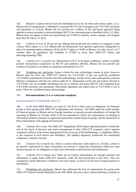143. Bhutan's response did not meet the thresholds set out by the three sub-criteria under c.15.3. Bhutan did not demonstrate it identified or assessed ML/TF risks emerging from VA/VASP activities and operations (c.15.3(a)). Bhutan did not provide any evidence of the risk-based approach being applied to ensure measures to prevent/mitigate ML/TF are commensurate to identified risks (c.15.3(b)). Bhutan does not appear to have any requirements for VASPs to identify, assess, manage, and mitigate their ML/TF risks  $(c.15.3(c))$ .

144. Criterion 15.4 to 15.10 are *not met*. Bhutan did not provide any evidence in response to this criteria. With respect to c.15.6, Bhutan did not demonstrate how general supervisory obligations in place for reporting entities relating to R.26 and R.27 apply to VASPs in Bhutan, or in the case of c.15.7 whether there are guidelines and feedback to VASPs to assist their AML/CFT efforts and detecting/reporting STRs.

145. Criterion 15.11 is *partly met.* Deficiencies in R.37 to 40 apply in Bhutan's ability to rapidly provide international cooperation on ML/TF and predicate offences. Bhutan did not provide any evidence in relation to its ability to cooperate with partners on VA.

146. Weighting and conclusion*:* Legacy criteria for new technologies remain in place, however Bhutan does not have any AML/CFT controls for VA/VASPs. It has not explicitly prohibited VA/VASPs as permitted in Footnote 44 of the methodology, and the review team subsequently analysed Bhutan's compliance with the new criteria under R.15. Information on the risk and context relevant to VA/VASPs was not available and Bhutan has yet to identify and assess ML/TF risks emerging from VA/VASPs activities and operations. Risk-based regulation and supervision of VA/VASPs is not in place. These are considered major shortcomings.

# 147. **Recommendation 15 is re-rated non-compliant**.

## *Recommendation 18 (Originally rated LC)*

148. In the 2016 MER Bhutan was rated LC for R.18 as there were no obligations for financial groups to have group-wide AML/CFT programmes and measures. The MER noted the small number of financial groups in Bhutan and no foreign branches or majority-owned subsidiaries of foreign FIs operating in Bhutan. In October 2018, R.18 was amended to clarify the requirements on sharing of information related to unusual or suspicious transactions within financial groups, and the interaction of these requirements with tipping-off provisions.

149. Criterion 18.1 is *met*. The AML/CFT Regulations 2018 require reporting entities to detail the role of the board of directors and senior management in their AML/CFT programs, and to appoint compliance officers at the senior management level. In excess of the methodology, a compliance officer is also required at each branch and subsidiary. The updated regulatory framework has maintained compliance with this criterion.

150. Criterion 18.2 is *mostly met*. There is a minor deficiency with respect to c.18.2(b), as there is no specific requirement to share information on unusual or suspicious transactions within the same financial group, nor an obligation to share such information with branches and subsidiaries.

151. Criterion 18.3 is *mostly met*. There are no explicit requirements for foreign branches and subsidiaries to apply home AML/CFT measures, when the host jurisdiction is less strict. This was considered a minor deficiency in Bhutan's risk and context, as none of its FIs have foreign branches or subsidiaries.

152. Weighting and conclusion*:* Bhutan has addressed the lack of requirements for group-wide AML/CFT internal controls identified in the 2016 MER. However, there a minor deficiency remains as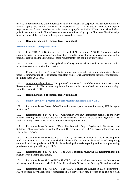there is no requirement to share information related to unusual or suspicious transactions within the financial group and with its branches and subsidiaries. To a lesser extent, there are no explicit requirements for foreign branches and subsidiaries to apply home AML/CFT measures when the host jurisdiction is less strict. In Bhutan's context there are no financial groups or Bhutanese FIs with foreign branches or subsidiaries. As such these gaps are considered minor.

## 153. **Recommendation 18 remains largely compliant.**

#### *Recommendation 21 (Originally rated LC)*

154. In its 2018 FUR Bhutan was rated LC with R.21. In October 2018, R.18 was amended to clarify the requirements on sharing of information related to unusual or suspicious transactions within financial groups, and the interaction of these requirements with tipping-off provisions.

155. Criterion 21.1 is *met*. The updated regulatory framework outlined in the 2018 FUR has maintained compliance with this criterion.

156. Criterion 21.2 is *mostly met*. The tipping off provisions do not inhibit information sharing under Recommendation 18. The updated regulatory framework has maintained the minor shortcomings identified in the 2018 FUR.

157. Weighting and conclusion: The tipping off provisions do not inhibit information sharing under Recommendation 18. The updated regulatory framework has maintained the minor shortcomings identified in the 2018 FUR.

#### 158. **Recommendation 21 remains largely compliant.**

**3.3. Brief overview of progress on other recommendations rated NC/PC**

159. Recommendation 7 (rated PC) – Bhutan has developed a resource for sharing TFS listings in relation to PF.

160. Recommendation 24 (rated PC) – Consultation with law enforcement agencies is underway towards creating legal requirements for law enforcement agencies to create new regulations that facilitate timely access to basic and beneficial ownership information.

161. Recommendation 31 (rated PC) – The Narcotic Drugs, Psychotropic Substances and Substance Abuse (Amendment) Act of Bhutan 2018 empowers the BNCA to access information from FIs via court orders.

162. Recommendation 34 (rated PC) – The FID, with assistance from the Asian Development Bank, has developed a CDD guidance which has been published on its website and issued to reporting entities. In addition, guidance on PEPs has been developed to assist reporting entities in implementing provisions relating specifically to PEPs.

163. Recommendation 36 (rated PC) – The DLO is currently reviewing this Recommendation in relation to the Palermo convention.

164. Recommendation 37 (rated NC) - The DLO, with technical assistance from the International Monetary Fund, has drafted a MLA bill. The bill is with the Office of the Attorney General for review.

165. Recommendation 40 (rated PC) – The AML/CFT Rules and Regulation 2018 empowers the FID to request information from counterparts, if it believes they may possess or be able to obtain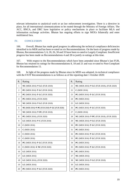relevant information to analytical work or an law enforcement investigation. There is a directive in place, for all international communications to be routed through the Ministry of Foreign Affairs. The ACC, BNCA, and DRC have legislative or policy mechanisms in place to facilitate MLA and information exchange activities. Bhutan has ongoing efforts to sign MOUs bilaterally and enter multilateral fora.

# **IV. CONCLUSION**

166. Overall, Bhutan has made good progress in addressing the technical compliance deficiencies identified in its MER and has been re-rated on six Recommendations. On the basis of progress made by Bhutan, Recommendations 3, 6, 20, 26, 30 and 33 have been re-rated to Largely Compliant. Insufficient progress has been made on Recommendations 4 and 28 to justify re-ratings at this time.

167. With respect to the Recommendations which have been amended since Bhutan's last FUR, Bhutan has retained its ratings for Recommendations 8, 18 and 21 and was re-rated to Non-Compliant for Recommendation 15.

168. In light of the progress made by Bhutan since its MER was adopted, its technical compliance with the FATF Recommendations is as follows as of the reporting date 1 October 2020:

| R.             | Rating                                               |  | R. | Rating                                               |
|----------------|------------------------------------------------------|--|----|------------------------------------------------------|
| $\mathbf{1}$   | NC (MER 2016) ↑ LC (FUR 2018)                        |  | 21 | NC (MER 2016) ↑ LC (FUR 2018), (FUR 2020)            |
| $\overline{2}$ | <b>PC</b> (MER 2016) $\uparrow$ <b>LC</b> (FUR 2018) |  | 22 | $C$ (MER 2016)                                       |
| 3              | <b>PC</b> (MER 2016) $\uparrow$ <b>LC</b> (FUR 2020) |  | 23 | PC (MER 2016) ↑ LC (FUR 2018)                        |
| $\overline{4}$ | <b>PC</b> (MER 2016), (FUR 2020)                     |  | 24 | <b>PC</b> (MER 2016)                                 |
| 5              | NC (MER 2016) ↑ LC (FUR 2018)                        |  | 25 | LC (MER 2016)                                        |
| 6              | NC (MER 2016) ↑ PC (FUR 2018) ↑ LC (FUR 2020)        |  | 26 | PC (MER 2016) ↑ LC (FUR 2020)                        |
| 7              | NC (MER 2016) $\uparrow$ PC (FUR 2018)               |  | 27 | $C$ (MER 2016)                                       |
| 8              | <b>PC</b> (MER 2016), (FUR 2020)                     |  | 28 | NC (MER 2016) 个 PC (FUR 2018), (FUR 2020)            |
| 9              | <b>LC</b> (MER 2016) $\uparrow$ <b>C</b> (FUR 2018)  |  | 29 | NC (MER 2016) $\uparrow$ LC (FUR 2018)               |
| 10             | $C$ (MER 2016)                                       |  | 30 | <b>PC</b> (MER 2016) $\uparrow$ <b>LC</b> (FUR 2020) |
| 11             | $C$ (MER 2016)                                       |  | 31 | PC (MER 2016)                                        |
| 12             | $C$ (MER 2016)                                       |  | 32 | <b>PC</b> (MER 2016) $\uparrow$ <b>LC</b> (FUR 2018) |
| 13             | $C$ (MER 2016)                                       |  | 33 | PC (MER 2016) $\uparrow$ LC (FUR 2020)               |
| 14             | <b>PC</b> (MER 2016) $\uparrow$ <b>LC</b> (FUR 2018) |  | 34 | <b>PC</b> (MER 2016)                                 |
| 15             | $C$ (MER 2016) $\sqrt{}$ NC (FUR 2020)               |  | 35 | <b>PC</b> (MER 2016) $\uparrow$ <b>LC</b> (FUR 2018) |
| 16             | <b>LC</b> (MER 2016)                                 |  | 36 | <b>PC</b> (MER 2016)                                 |
| 17             | LC (MER 2016)                                        |  | 37 | <b>NC</b> (MER 2016)                                 |
| 18             | LC (MER 2016), (FUR 2020)                            |  | 38 | NC (MER 2016) $\uparrow$ LC (FUR 2018)               |
| 19             | $LC$ (MER 2016)                                      |  | 39 | $LC$ (MER 2016)                                      |
| 20             | PC (MER 2016) ↑ LC (FUR 2020)                        |  | 40 | <b>PC</b> (MER 2016)                                 |